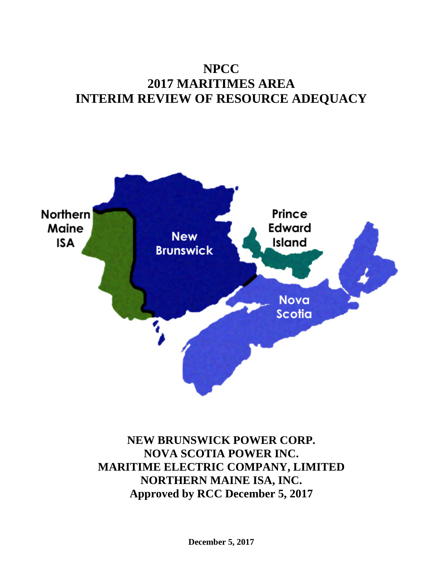



# **NEW BRUNSWICK POWER CORP. NOVA SCOTIA POWER INC. MARITIME ELECTRIC COMPANY, LIMITED NORTHERN MAINE ISA, INC. Approved by RCC December 5, 2017**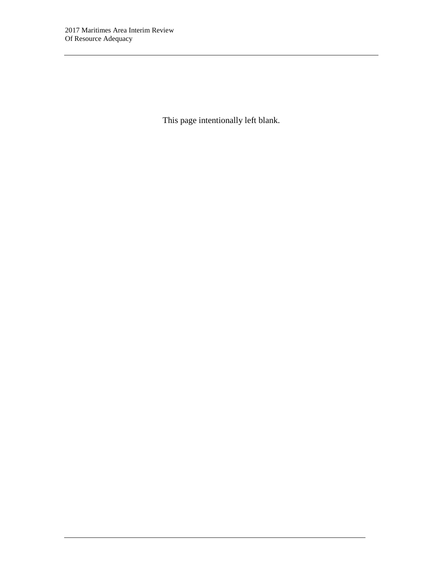This page intentionally left blank.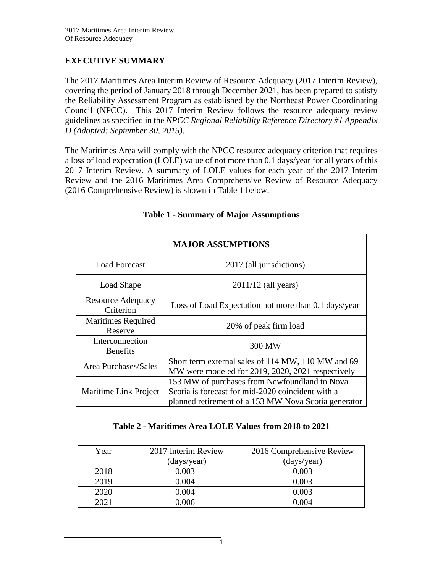# <span id="page-2-0"></span>**EXECUTIVE SUMMARY**

The 2017 Maritimes Area Interim Review of Resource Adequacy (2017 Interim Review), covering the period of January 2018 through December 2021, has been prepared to satisfy the Reliability Assessment Program as established by the Northeast Power Coordinating Council (NPCC). This 2017 Interim Review follows the resource adequacy review guidelines as specified in the *NPCC Regional Reliability Reference Directory #1 Appendix D (Adopted: September 30, 2015)*.

The Maritimes Area will comply with the NPCC resource adequacy criterion that requires a loss of load expectation (LOLE) value of not more than 0.1 days/year for all years of this 2017 Interim Review. A summary of LOLE values for each year of the 2017 Interim Review and the 2016 Maritimes Area Comprehensive Review of Resource Adequacy (2016 Comprehensive Review) is shown in Table 1 below.

<span id="page-2-1"></span>

| <b>MAJOR ASSUMPTIONS</b>             |                                                                                                                                                            |  |  |  |  |
|--------------------------------------|------------------------------------------------------------------------------------------------------------------------------------------------------------|--|--|--|--|
| <b>Load Forecast</b>                 | 2017 (all jurisdictions)                                                                                                                                   |  |  |  |  |
| Load Shape                           | $2011/12$ (all years)                                                                                                                                      |  |  |  |  |
| Resource Adequacy<br>Criterion       | Loss of Load Expectation not more than 0.1 days/year                                                                                                       |  |  |  |  |
| <b>Maritimes Required</b><br>Reserve | 20% of peak firm load                                                                                                                                      |  |  |  |  |
| Interconnection<br><b>Benefits</b>   | 300 MW                                                                                                                                                     |  |  |  |  |
| Area Purchases/Sales                 | Short term external sales of 114 MW, 110 MW and 69<br>MW were modeled for 2019, 2020, 2021 respectively                                                    |  |  |  |  |
| Maritime Link Project                | 153 MW of purchases from Newfoundland to Nova<br>Scotia is forecast for mid-2020 coincident with a<br>planned retirement of a 153 MW Nova Scotia generator |  |  |  |  |

# **Table 1 - Summary of Major Assumptions**

#### **Table 2 - Maritimes Area LOLE Values from 2018 to 2021**

<span id="page-2-2"></span>

| Year | 2017 Interim Review | 2016 Comprehensive Review |
|------|---------------------|---------------------------|
|      | (days/year)         | (days/year)               |
| 2018 | 0.003               | 0.003                     |
| 2019 | 0.004               | 0.003                     |
| 2020 | 0.004               | 0.003                     |
| 2021 | 0.006               | 0.004                     |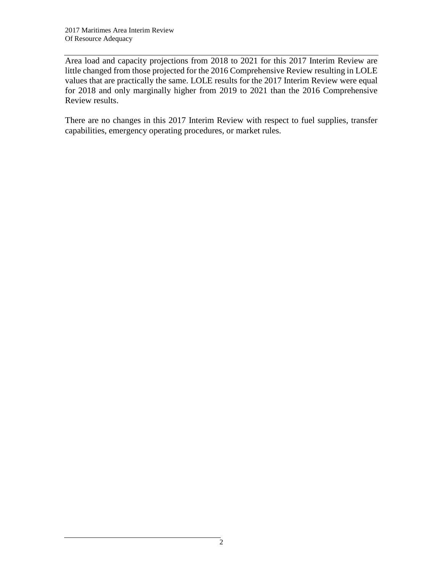Area load and capacity projections from 2018 to 2021 for this 2017 Interim Review are little changed from those projected for the 2016 Comprehensive Review resulting in LOLE values that are practically the same. LOLE results for the 2017 Interim Review were equal for 2018 and only marginally higher from 2019 to 2021 than the 2016 Comprehensive Review results.

There are no changes in this 2017 Interim Review with respect to fuel supplies, transfer capabilities, emergency operating procedures, or market rules.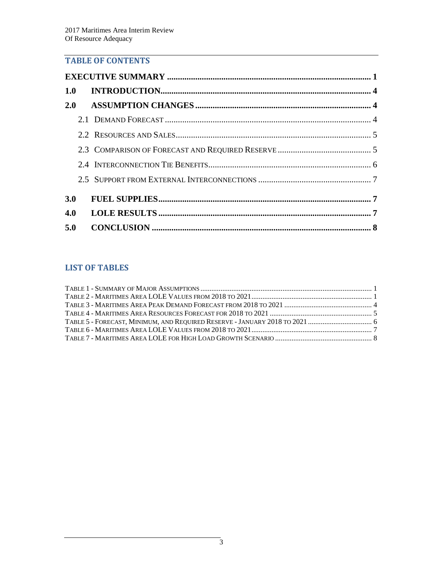# **TABLE OF CONTENTS**

| 3.0 |  |  |
|-----|--|--|
| 4.0 |  |  |
| 5.0 |  |  |

# **LIST OF TABLES**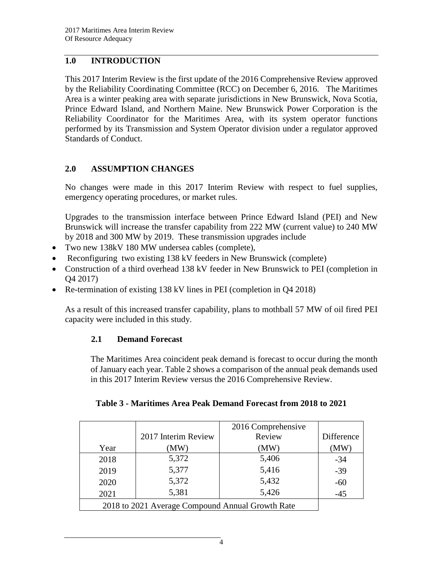# <span id="page-5-0"></span>**1.0 INTRODUCTION**

This 2017 Interim Review is the first update of the 2016 Comprehensive Review approved by the Reliability Coordinating Committee (RCC) on December 6, 2016. The Maritimes Area is a winter peaking area with separate jurisdictions in New Brunswick, Nova Scotia, Prince Edward Island, and Northern Maine. New Brunswick Power Corporation is the Reliability Coordinator for the Maritimes Area, with its system operator functions performed by its Transmission and System Operator division under a regulator approved Standards of Conduct.

# <span id="page-5-1"></span>**2.0 ASSUMPTION CHANGES**

No changes were made in this 2017 Interim Review with respect to fuel supplies, emergency operating procedures, or market rules.

Upgrades to the transmission interface between Prince Edward Island (PEI) and New Brunswick will increase the transfer capability from 222 MW (current value) to 240 MW by 2018 and 300 MW by 2019. These transmission upgrades include

- Two new 138kV 180 MW undersea cables (complete),
- Reconfiguring two existing 138 kV feeders in New Brunswick (complete)
- Construction of a third overhead 138 kV feeder in New Brunswick to PEI (completion in Q4 2017)
- Re-termination of existing 138 kV lines in PEI (completion in Q4 2018)

As a result of this increased transfer capability, plans to mothball 57 MW of oil fired PEI capacity were included in this study.

# <span id="page-5-2"></span>**2.1 Demand Forecast**

The Maritimes Area coincident peak demand is forecast to occur during the month of January each year. Table 2 shows a comparison of the annual peak demands used in this 2017 Interim Review versus the 2016 Comprehensive Review.

| Table 3 - Maritimes Area Peak Demand Forecast from 2018 to 2021 |
|-----------------------------------------------------------------|
|                                                                 |

<span id="page-5-3"></span>

|                                                  |                     | 2016 Comprehensive |            |
|--------------------------------------------------|---------------------|--------------------|------------|
|                                                  | 2017 Interim Review | Review             | Difference |
| Year                                             | (MW)                | (MW)               | (MW)       |
| 2018                                             | 5,372               | 5,406              | $-34$      |
| 2019                                             | 5,377               | 5,416              | $-39$      |
| 2020                                             | 5,372               | 5,432              | $-60$      |
| 2021                                             | 5,381               | 5,426              | $-45$      |
| 2018 to 2021 Average Compound Annual Growth Rate |                     |                    |            |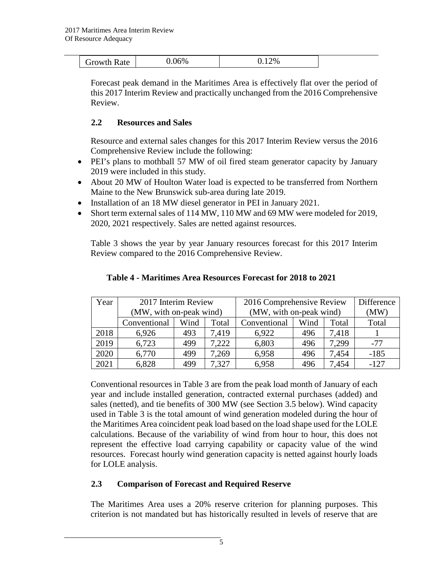|--|

Forecast peak demand in the Maritimes Area is effectively flat over the period of this 2017 Interim Review and practically unchanged from the 2016 Comprehensive Review.

#### <span id="page-6-0"></span>**2.2 Resources and Sales**

Resource and external sales changes for this 2017 Interim Review versus the 2016 Comprehensive Review include the following:

- PEI's plans to mothball 57 MW of oil fired steam generator capacity by January 2019 were included in this study.
- About 20 MW of Houlton Water load is expected to be transferred from Northern Maine to the New Brunswick sub-area during late 2019.
- Installation of an 18 MW diesel generator in PEI in January 2021.
- Short term external sales of 114 MW, 110 MW and 69 MW were modeled for 2019, 2020, 2021 respectively. Sales are netted against resources.

<span id="page-6-2"></span>Table 3 shows the year by year January resources forecast for this 2017 Interim Review compared to the 2016 Comprehensive Review.

| Year | 2017 Interim Review     |      | 2016 Comprehensive Review |              |      | Difference |        |
|------|-------------------------|------|---------------------------|--------------|------|------------|--------|
|      | (MW, with on-peak wind) |      | (MW, with on-peak wind)   |              |      | (MW)       |        |
|      | Conventional            | Wind | Total                     | Conventional | Wind | Total      | Total  |
| 2018 | 6,926                   | 493  | 7,419                     | 6,922        | 496  | 7,418      |        |
| 2019 | 6,723                   | 499  | 7,222                     | 6,803        | 496  | 7,299      | $-77$  |
| 2020 | 6,770                   | 499  | 7,269                     | 6,958        | 496  | 7,454      | $-185$ |
| 2021 | 6,828                   | 499  | 7,327                     | 6,958        | 496  | 7,454      | $-127$ |

#### **Table 4 - Maritimes Area Resources Forecast for 2018 to 2021**

Conventional resources in Table 3 are from the peak load month of January of each year and include installed generation, contracted external purchases (added) and sales (netted), and tie benefits of 300 MW (see Section 3.5 below). Wind capacity used in Table 3 is the total amount of wind generation modeled during the hour of the Maritimes Area coincident peak load based on the load shape used for the LOLE calculations. Because of the variability of wind from hour to hour, this does not represent the effective load carrying capability or capacity value of the wind resources. Forecast hourly wind generation capacity is netted against hourly loads for LOLE analysis.

#### <span id="page-6-1"></span>**2.3 Comparison of Forecast and Required Reserve**

The Maritimes Area uses a 20% reserve criterion for planning purposes. This criterion is not mandated but has historically resulted in levels of reserve that are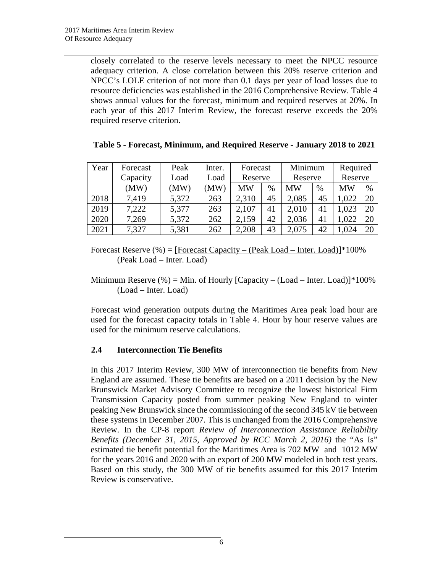closely correlated to the reserve levels necessary to meet the NPCC resource adequacy criterion. A close correlation between this 20% reserve criterion and NPCC's LOLE criterion of not more than 0.1 days per year of load losses due to resource deficiencies was established in the 2016 Comprehensive Review. Table 4 shows annual values for the forecast, minimum and required reserves at 20%. In each year of this 2017 Interim Review, the forecast reserve exceeds the 20% required reserve criterion.

| Year | Forecast | Peak  | Inter. | Forecast |      | Minimum   |      | Required |      |
|------|----------|-------|--------|----------|------|-----------|------|----------|------|
|      | Capacity | Load  | Load   | Reserve  |      | Reserve   |      | Reserve  |      |
|      | (MW)     | (MW)  | MW)    | MW       | $\%$ | <b>MW</b> | $\%$ | MW       | $\%$ |
| 2018 | 7,419    | 5,372 | 263    | 2,310    | 45   | 2,085     | 45   | 1,022    | 20   |
| 2019 | 7,222    | 5,377 | 263    | 2,107    | 41   | 2,010     | 41   | 1,023    | 20   |
| 2020 | 7,269    | 5,372 | 262    | 2,159    | 42   | 2,036     | 41   | .022     | 20   |
| 2021 | 7,327    | 5,381 | 262    | 2,208    | 43   | 2,075     | 42   | 1,024    | 20   |

<span id="page-7-1"></span>**Table 5 - Forecast, Minimum, and Required Reserve - January 2018 to 2021**

Forecast Reserve  $(\% )$  = [Forecast Capacity – (Peak Load – Inter. Load)]\*100% (Peak Load – Inter. Load)

Minimum Reserve  $%$  = Min. of Hourly [Capacity – (Load – Inter. Load)]\*100% (Load – Inter. Load)

Forecast wind generation outputs during the Maritimes Area peak load hour are used for the forecast capacity totals in Table 4. Hour by hour reserve values are used for the minimum reserve calculations.

# <span id="page-7-0"></span>**2.4 Interconnection Tie Benefits**

In this 2017 Interim Review, 300 MW of interconnection tie benefits from New England are assumed. These tie benefits are based on a 2011 decision by the New Brunswick Market Advisory Committee to recognize the lowest historical Firm Transmission Capacity posted from summer peaking New England to winter peaking New Brunswick since the commissioning of the second 345 kV tie between these systems in December 2007. This is unchanged from the 2016 Comprehensive Review. In the CP-8 report *Review of Interconnection Assistance Reliability Benefits (December 31, 2015, Approved by RCC March 2, 2016)* the "As Is" estimated tie benefit potential for the Maritimes Area is 702 MW and 1012 MW for the years 2016 and 2020 with an export of 200 MW modeled in both test years. Based on this study, the 300 MW of tie benefits assumed for this 2017 Interim Review is conservative.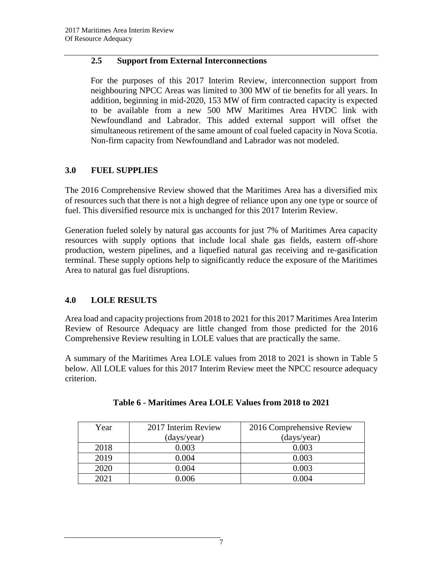# <span id="page-8-0"></span>**2.5 Support from External Interconnections**

For the purposes of this 2017 Interim Review, interconnection support from neighbouring NPCC Areas was limited to 300 MW of tie benefits for all years. In addition, beginning in mid-2020, 153 MW of firm contracted capacity is expected to be available from a new 500 MW Maritimes Area HVDC link with Newfoundland and Labrador. This added external support will offset the simultaneous retirement of the same amount of coal fueled capacity in Nova Scotia. Non-firm capacity from Newfoundland and Labrador was not modeled.

### <span id="page-8-1"></span>**3.0 FUEL SUPPLIES**

The 2016 Comprehensive Review showed that the Maritimes Area has a diversified mix of resources such that there is not a high degree of reliance upon any one type or source of fuel. This diversified resource mix is unchanged for this 2017 Interim Review.

Generation fueled solely by natural gas accounts for just 7% of Maritimes Area capacity resources with supply options that include local shale gas fields, eastern off-shore production, western pipelines, and a liquefied natural gas receiving and re-gasification terminal. These supply options help to significantly reduce the exposure of the Maritimes Area to natural gas fuel disruptions.

# <span id="page-8-2"></span>**4.0 LOLE RESULTS**

Area load and capacity projections from 2018 to 2021 for this 2017 Maritimes Area Interim Review of Resource Adequacy are little changed from those predicted for the 2016 Comprehensive Review resulting in LOLE values that are practically the same.

A summary of the Maritimes Area LOLE values from 2018 to 2021 is shown in Table 5 below. All LOLE values for this 2017 Interim Review meet the NPCC resource adequacy criterion.

<span id="page-8-3"></span>

| Year | 2017 Interim Review | 2016 Comprehensive Review |
|------|---------------------|---------------------------|
|      | (days/year)         | (days/year)               |
| 2018 | 0.003               | 0.003                     |
| 2019 | 0.004               | 0.003                     |
| 2020 | 0.004               | 0.003                     |
| 2021 | 0.006               | 0.004                     |

#### **Table 6 - Maritimes Area LOLE Values from 2018 to 2021**